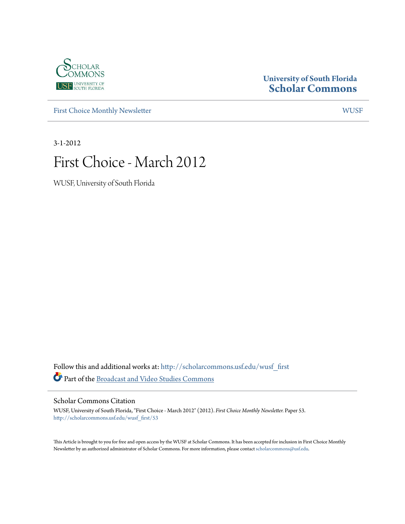

## **University of South Florida [Scholar Commons](http://scholarcommons.usf.edu?utm_source=scholarcommons.usf.edu%2Fwusf_first%2F53&utm_medium=PDF&utm_campaign=PDFCoverPages)**

[First Choice Monthly Newsletter](http://scholarcommons.usf.edu/wusf_first?utm_source=scholarcommons.usf.edu%2Fwusf_first%2F53&utm_medium=PDF&utm_campaign=PDFCoverPages) [WUSF](http://scholarcommons.usf.edu/wusf?utm_source=scholarcommons.usf.edu%2Fwusf_first%2F53&utm_medium=PDF&utm_campaign=PDFCoverPages)

3-1-2012

# First Choice - March 2012

WUSF, University of South Florida

Follow this and additional works at: [http://scholarcommons.usf.edu/wusf\\_first](http://scholarcommons.usf.edu/wusf_first?utm_source=scholarcommons.usf.edu%2Fwusf_first%2F53&utm_medium=PDF&utm_campaign=PDFCoverPages) Part of the [Broadcast and Video Studies Commons](http://network.bepress.com/hgg/discipline/326?utm_source=scholarcommons.usf.edu%2Fwusf_first%2F53&utm_medium=PDF&utm_campaign=PDFCoverPages)

Scholar Commons Citation

WUSF, University of South Florida, "First Choice - March 2012" (2012). *First Choice Monthly Newsletter.* Paper 53. [http://scholarcommons.usf.edu/wusf\\_first/53](http://scholarcommons.usf.edu/wusf_first/53?utm_source=scholarcommons.usf.edu%2Fwusf_first%2F53&utm_medium=PDF&utm_campaign=PDFCoverPages)

This Article is brought to you for free and open access by the WUSF at Scholar Commons. It has been accepted for inclusion in First Choice Monthly Newsletter by an authorized administrator of Scholar Commons. For more information, please contact [scholarcommons@usf.edu](mailto:scholarcommons@usf.edu).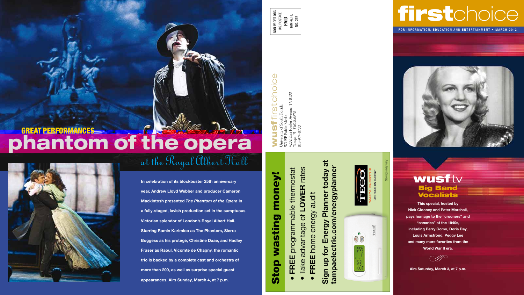# firstchoice

FOR INFORMATION, EDUCATION AND ENTERTAINMENT • MARCH 2012



# wusftv Big Band **Vocalists**

**This special, hosted by Nick Clooney and Peter Marshall, pays homage to the "crooners" and "canaries" of the 1940s, including Perry Como, Doris Day, Louis Armstrong, Peggy Lee and many more favorites from the World War II era.** 

.Þ

**Airs Saturday, March 3, at 7 p.m.**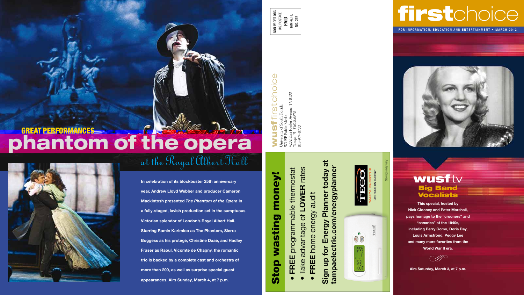# GREAT PERFORMANCES phantom of the opera



**In celebration of its blockbuster 25th anniversary year, Andrew Lloyd Webber and producer Cameron Mackintosh presented** *The Phantom of the Opera* **in a fully-staged, lavish production set in the sumptuous Victorian splendor of London's Royal Albert Hall. Starring Ramin Karimloo as The Phantom, Sierra Boggess as his protégé, Christine Daaé, and Hadley Fraser as Raoul, Vicomte de Chagny, the romantic trio is backed by a complete cast and orchestra of more than 200, as well as surprise special guest appearances. Airs Sunday, March 4, at 7 p.m.**